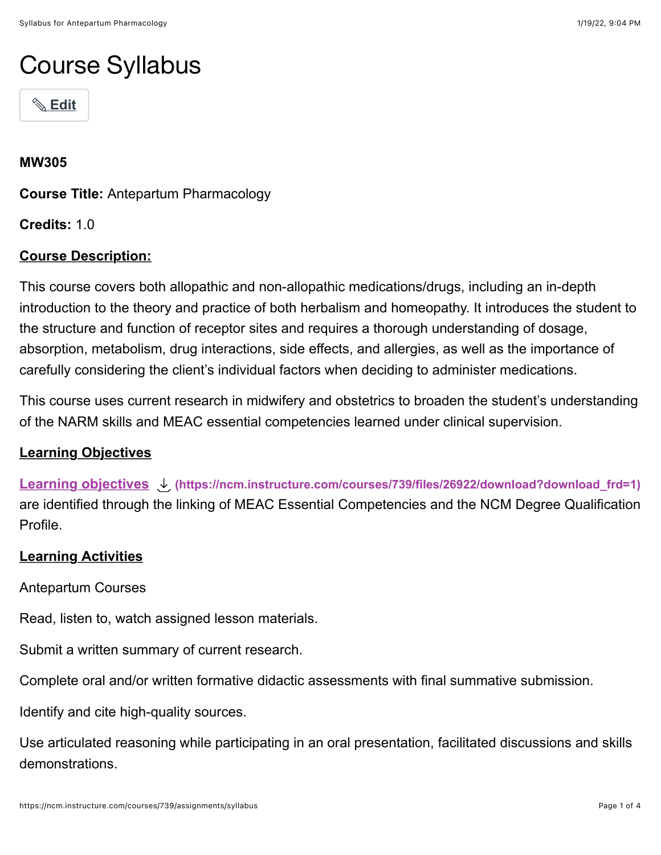# Course Syllabus



#### **MW305**

**Course Title:** Antepartum Pharmacology

**Credits:** 1.0

### **Course Description:**

This course covers both allopathic and non-allopathic medications/drugs, including an in-depth introduction to the theory and practice of both herbalism and homeopathy. It introduces the student to the structure and function of receptor sites and requires a thorough understanding of dosage, absorption, metabolism, drug interactions, side effects, and allergies, as well as the importance of carefully considering the client's individual factors when deciding to administer medications.

This course uses current research in midwifery and obstetrics to broaden the student's understanding of the NARM skills and MEAC essential competencies learned under clinical supervision.

#### **Learning Objectives**

**[Learning objectives](https://ncm.instructure.com/courses/739/files/26922/download?wrap=1) [\(https://ncm.instructure.com/courses/739/files/26922/download?download\\_frd=1\)](https://ncm.instructure.com/courses/739/files/26922/download?download_frd=1)** are identified through the linking of MEAC Essential Competencies and the NCM Degree Qualification Profile.

#### **Learning Activities**

Antepartum Courses

Read, listen to, watch assigned lesson materials.

Submit a written summary of current research.

Complete oral and/or written formative didactic assessments with final summative submission.

Identify and cite high-quality sources.

Use articulated reasoning while participating in an oral presentation, facilitated discussions and skills demonstrations.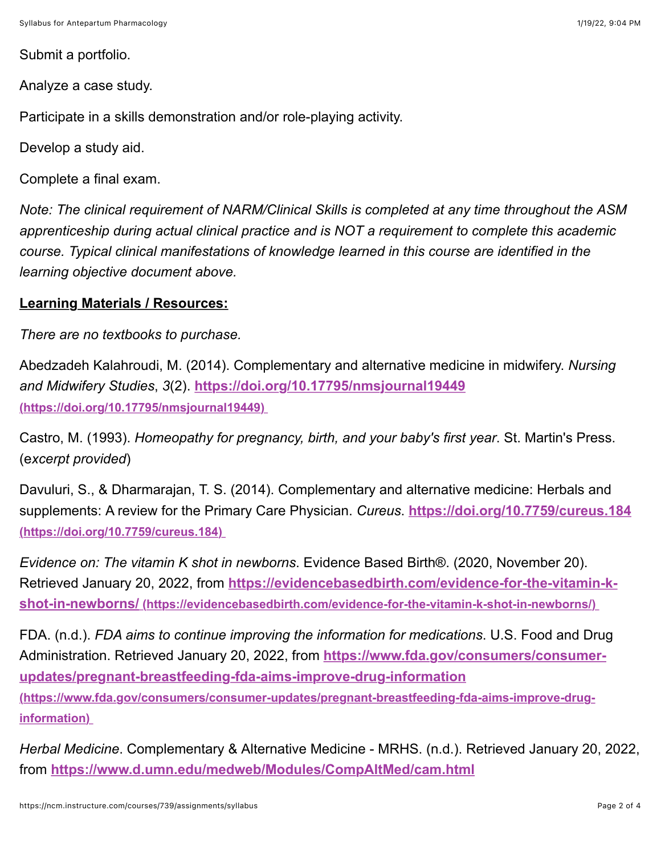Submit a portfolio.

Analyze a case study.

Participate in a skills demonstration and/or role-playing activity.

Develop a study aid.

Complete a final exam.

*Note: The clinical requirement of NARM/Clinical Skills is completed at any time throughout the ASM apprenticeship during actual clinical practice and is NOT a requirement to complete this academic course. Typical clinical manifestations of knowledge learned in this course are identified in the learning objective document above.*

#### **Learning Materials / Resources:**

*There are no textbooks to purchase.*

Abedzadeh Kalahroudi, M. (2014). Complementary and alternative medicine in midwifery. *Nursing and Midwifery Studies*, *3*(2). **<https://doi.org/10.17795/nmsjournal19449> (https://doi.org/10.17795/nmsjournal19449)** 

Castro, M. (1993). *Homeopathy for pregnancy, birth, and your baby's first year*. St. Martin's Press. (e*xcerpt provided*)

Davuluri, S., & Dharmarajan, T. S. (2014). Complementary and alternative medicine: Herbals and [supplements: A review for the Primary Care Physician.](https://doi.org/10.7759/cureus.184) *Cureus*. **https://doi.org/10.7759/cureus.184 (https://doi.org/10.7759/cureus.184)** 

*Evidence on: The vitamin K shot in newborns*. Evidence Based Birth®. (2020, November 20). Retrieved January 20, 2022, from **https://evidencebasedbirth.com/evidence-for-the-vitamin-k[shot-in-newborns/ \(https://evidencebasedbirth.com/evidence-for-the-vitamin-k-shot-in-newborns/\)](https://evidencebasedbirth.com/evidence-for-the-vitamin-k-shot-in-newborns/)** 

FDA. (n.d.). *FDA aims to continue improving the information for medications*. U.S. Food and Drug Administration. Retrieved January 20, 2022, from **https://www.fda.gov/consumers/consumerupdates/pregnant-breastfeeding-fda-aims-improve-drug-information [\(https://www.fda.gov/consumers/consumer-updates/pregnant-breastfeeding-fda-aims-improve-drug-](https://www.fda.gov/consumers/consumer-updates/pregnant-breastfeeding-fda-aims-improve-drug-information)**

**information)** 

*Herbal Medicine*. Complementary & Alternative Medicine - MRHS. (n.d.). Retrieved January 20, 2022, from **<https://www.d.umn.edu/medweb/Modules/CompAltMed/cam.html>**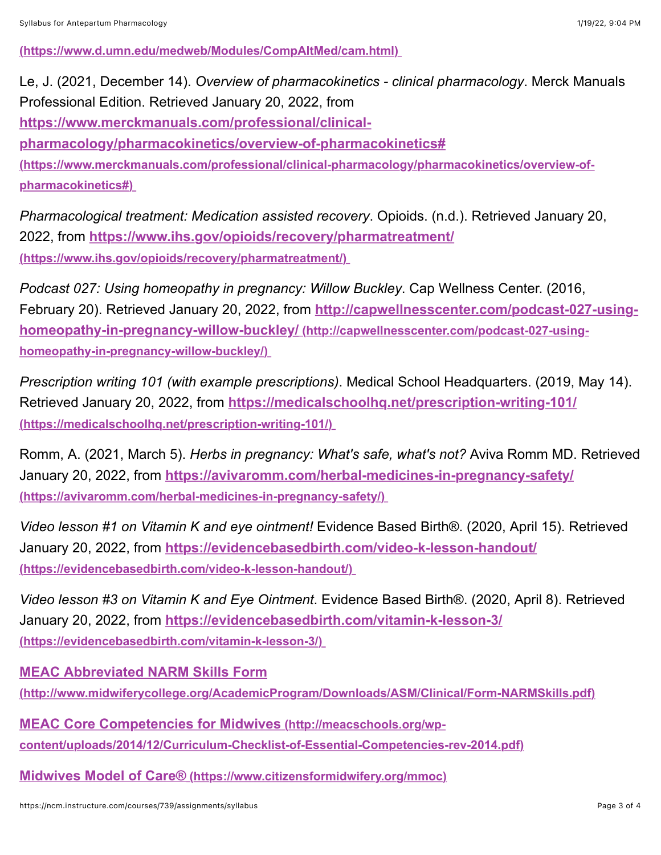**[\(https://www.d.umn.edu/medweb/Modules/CompAltMed/cam.html\)](https://www.d.umn.edu/medweb/Modules/CompAltMed/cam.html)** 

Le, J. (2021, December 14). *Overview of pharmacokinetics - clinical pharmacology*. Merck Manuals Professional Edition. Retrieved January 20, 2022, from

**https://www.merckmanuals.com/professional/clinical-**

**pharmacology/pharmacokinetics/overview-of-pharmacokinetics#**

**[\(https://www.merckmanuals.com/professional/clinical-pharmacology/pharmacokinetics/overview-of](https://www.merckmanuals.com/professional/clinical-pharmacology/pharmacokinetics/overview-of-pharmacokinetics#)pharmacokinetics#)** 

*Pharmacological treatment: Medication assisted recovery*. Opioids. (n.d.). Retrieved January 20, 2022, from **<https://www.ihs.gov/opioids/recovery/pharmatreatment/> (https://www.ihs.gov/opioids/recovery/pharmatreatment/)** 

*Podcast 027: Using homeopathy in pregnancy: Willow Buckley*. Cap Wellness Center. (2016, February 20). Retrieved January 20, 2022, from **http://capwellnesscenter.com/podcast-027-using[homeopathy-in-pregnancy-willow-buckley/ \(http://capwellnesscenter.com/podcast-027-using](http://capwellnesscenter.com/podcast-027-using-homeopathy-in-pregnancy-willow-buckley/)homeopathy-in-pregnancy-willow-buckley/)** 

*Prescription writing 101 (with example prescriptions)*. Medical School Headquarters. (2019, May 14). Retrieved January 20, 2022, from **<https://medicalschoolhq.net/prescription-writing-101/> (https://medicalschoolhq.net/prescription-writing-101/)** 

Romm, A. (2021, March 5). *Herbs in pregnancy: What's safe, what's not?* Aviva Romm MD. Retrieved January 20, 2022, from **<https://avivaromm.com/herbal-medicines-in-pregnancy-safety/> (https://avivaromm.com/herbal-medicines-in-pregnancy-safety/)** 

*Video lesson #1 on Vitamin K and eye ointment!* Evidence Based Birth®. (2020, April 15). Retrieved January 20, 2022, from **<https://evidencebasedbirth.com/video-k-lesson-handout/> (https://evidencebasedbirth.com/video-k-lesson-handout/)** 

*Video lesson #3 on Vitamin K and Eye Ointment*. Evidence Based Birth®. (2020, April 8). Retrieved January 20, 2022, from **<https://evidencebasedbirth.com/vitamin-k-lesson-3/> (https://evidencebasedbirth.com/vitamin-k-lesson-3/)** 

**[MEAC Abbreviated NARM Skills Form](https://ncm.instructure.com/courses/407/pages/narm-clinical-skills-and-meac-abbreviated-skills?module_item_id=64793)**

**[\(http://www.midwiferycollege.org/AcademicProgram/Downloads/ASM/Clinical/Form-NARMSkills.pdf\)](http://www.midwiferycollege.org/AcademicProgram/Downloads/ASM/Clinical/Form-NARMSkills.pdf)**

**MEAC Core Competencies for Midwives (http://meacschools.org/wp[content/uploads/2014/12/Curriculum-Checklist-of-Essential-Competencies-rev-2014.pdf\)](http://meacschools.org/wp-content/uploads/2014/12/Curriculum-Checklist-of-Essential-Competencies-rev-2014.pdf)**

**[Midwives Model of Care® \(https://www.citizensformidwifery.org/mmoc\)](https://www.citizensformidwifery.org/mmoc)**